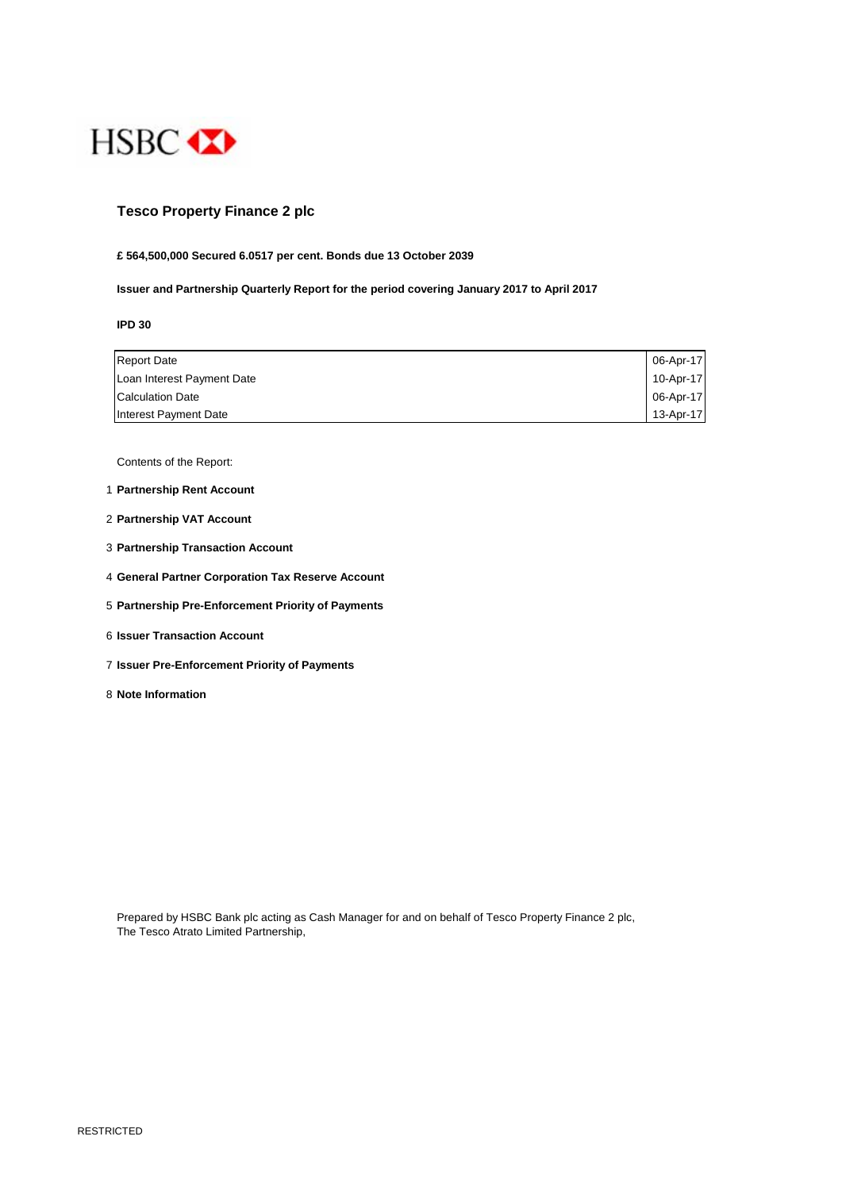

## **Tesco Property Finance 2 plc**

#### **£ 564,500,000 Secured 6.0517 per cent. Bonds due 13 October 2039**

**Issuer and Partnership Quarterly Report for the period covering January 2017 to April 2017**

**IPD 30**

| <b>Report Date</b>         | 06-Apr-17 |
|----------------------------|-----------|
| Loan Interest Payment Date | 10-Apr-17 |
| <b>Calculation Date</b>    | 06-Apr-17 |
| Interest Payment Date      | 13-Apr-17 |

Contents of the Report:

- 1 **Partnership Rent Account**
- 2 **Partnership VAT Account**
- 3 **Partnership Transaction Account**
- 4 **General Partner Corporation Tax Reserve Account**
- 5 **Partnership Pre-Enforcement Priority of Payments**
- 6 **Issuer Transaction Account**
- 7 **Issuer Pre-Enforcement Priority of Payments**
- 8 **Note Information**

Prepared by HSBC Bank plc acting as Cash Manager for and on behalf of Tesco Property Finance 2 plc, The Tesco Atrato Limited Partnership,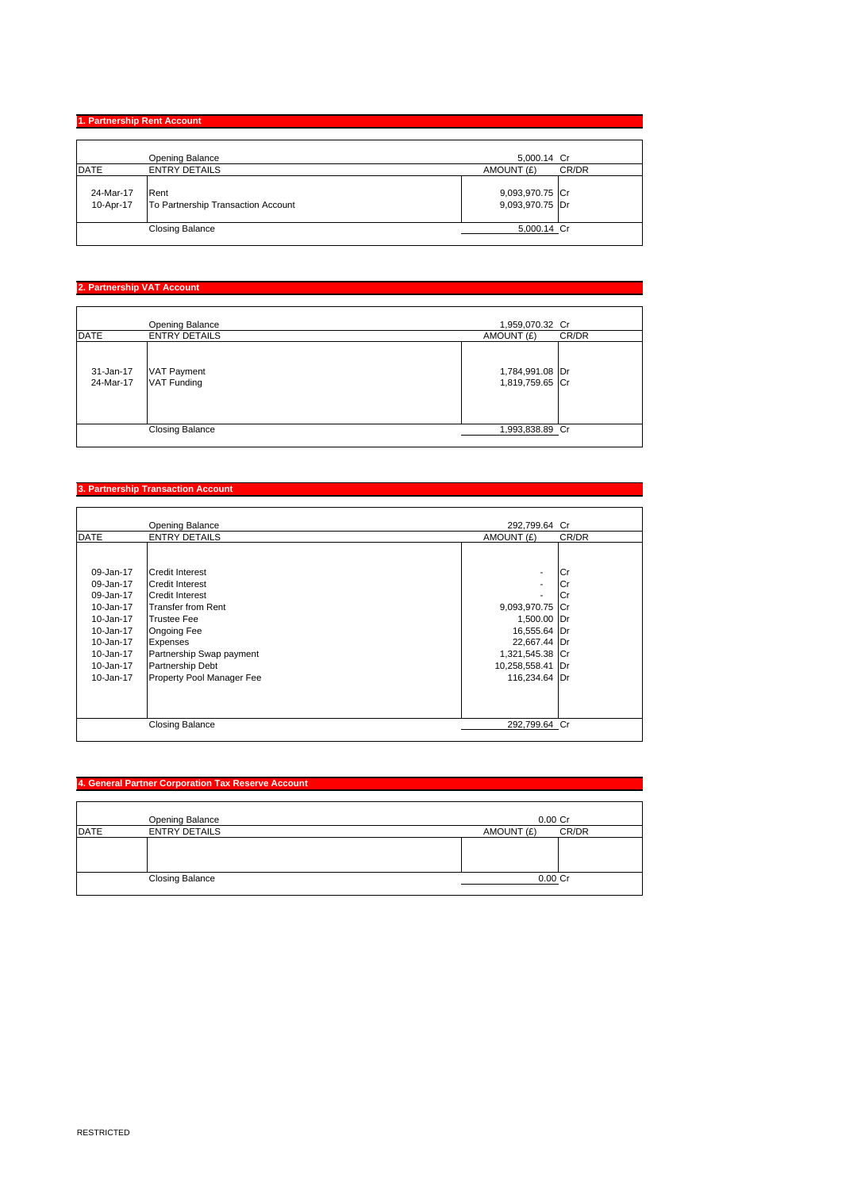# **1. Partnership Rent Account**

|                        | Opening Balance                            | 5,000.14 Cr                        |
|------------------------|--------------------------------------------|------------------------------------|
| <b>DATE</b>            | <b>ENTRY DETAILS</b>                       | AMOUNT (£)<br>CR/DR                |
| 24-Mar-17<br>10-Apr-17 | Rent<br>To Partnership Transaction Account | 9,093,970.75 Cr<br>9,093,970.75 Dr |
|                        | <b>Closing Balance</b>                     | 5,000.14 Cr                        |
|                        |                                            |                                    |

### **2. Partnership VAT Account**

|                        | Opening Balance                          | 1,959,070.32 Cr                    |       |
|------------------------|------------------------------------------|------------------------------------|-------|
| <b>DATE</b>            | <b>ENTRY DETAILS</b>                     | AMOUNT (£)                         | CR/DR |
| 31-Jan-17<br>24-Mar-17 | <b>VAT Payment</b><br><b>VAT Funding</b> | 1,784,991.08 Dr<br>1,819,759.65 Cr |       |
|                        | <b>Closing Balance</b>                   | 1,993,838.89 Cr                    |       |

#### **3. Partnership Transaction Account**

|                                                                                                                                | Opening Balance                                                                                                                                                                                                                                     | 292,799.64 Cr                                                                                                                         |                         |
|--------------------------------------------------------------------------------------------------------------------------------|-----------------------------------------------------------------------------------------------------------------------------------------------------------------------------------------------------------------------------------------------------|---------------------------------------------------------------------------------------------------------------------------------------|-------------------------|
| <b>DATE</b>                                                                                                                    | <b>ENTRY DETAILS</b>                                                                                                                                                                                                                                | AMOUNT (£)                                                                                                                            | CR/DR                   |
| 09-Jan-17<br>09-Jan-17<br>09-Jan-17<br>10-Jan-17<br>10-Jan-17<br>10-Jan-17<br>10-Jan-17<br>10-Jan-17<br>10-Jan-17<br>10-Jan-17 | <b>Credit Interest</b><br><b>Credit Interest</b><br><b>Credit Interest</b><br><b>Transfer from Rent</b><br><b>Trustee Fee</b><br><b>Ongoing Fee</b><br><b>Expenses</b><br>Partnership Swap payment<br>Partnership Debt<br>Property Pool Manager Fee | ۰<br>٠<br>٠<br>9,093,970.75 Cr<br>1,500.00 Dr<br>16,555.64 Dr<br>22,667.44 Dr<br>1,321,545.38 Cr<br>10,258,558.41 Dr<br>116,234.64 Dr | l Cr<br>Cr<br><b>Cr</b> |
|                                                                                                                                | <b>Closing Balance</b>                                                                                                                                                                                                                              | 292,799.64 Cr                                                                                                                         |                         |

### **4. General Partner Corporation Tax Reserve Account**

|             | Opening Balance        | $0.00$ Cr  |       |
|-------------|------------------------|------------|-------|
| <b>DATE</b> | <b>ENTRY DETAILS</b>   | AMOUNT (£) | CR/DR |
|             |                        |            |       |
|             |                        |            |       |
|             |                        |            |       |
|             | <b>Closing Balance</b> | 0.00 Cr    |       |
|             |                        |            |       |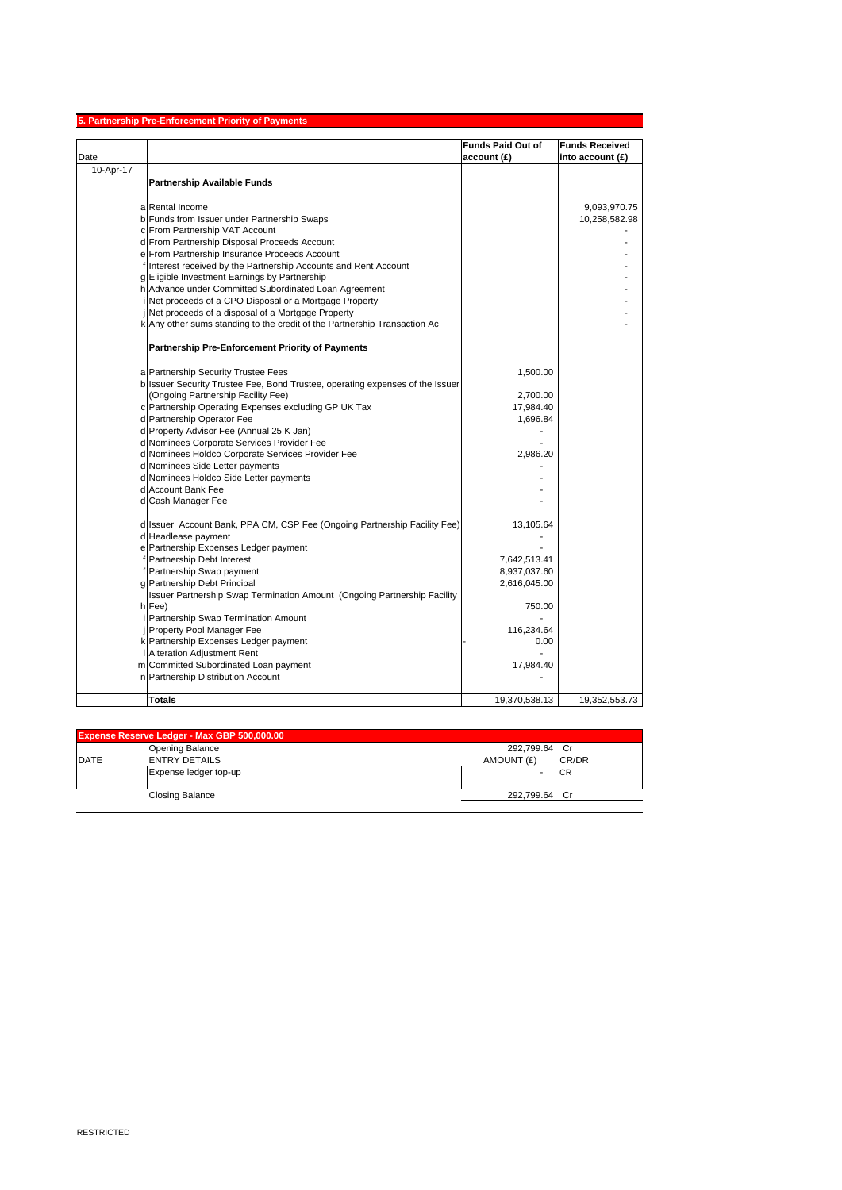|           | 5. Partnership Pre-Enforcement Priority of Payments                           |                          |                       |
|-----------|-------------------------------------------------------------------------------|--------------------------|-----------------------|
|           |                                                                               | <b>Funds Paid Out of</b> | <b>Funds Received</b> |
| Date      |                                                                               | account (£)              | into account (£)      |
| 10-Apr-17 |                                                                               |                          |                       |
|           | <b>Partnership Available Funds</b>                                            |                          |                       |
|           |                                                                               |                          |                       |
|           | a Rental Income                                                               |                          | 9,093,970.75          |
|           | b Funds from Issuer under Partnership Swaps                                   |                          | 10,258,582.98         |
|           | c From Partnership VAT Account                                                |                          |                       |
|           | d From Partnership Disposal Proceeds Account                                  |                          |                       |
|           | e From Partnership Insurance Proceeds Account                                 |                          |                       |
|           | f Interest received by the Partnership Accounts and Rent Account              |                          |                       |
|           | g Eligible Investment Earnings by Partnership                                 |                          |                       |
|           | h Advance under Committed Subordinated Loan Agreement                         |                          |                       |
|           | Net proceeds of a CPO Disposal or a Mortgage Property                         |                          |                       |
|           | Net proceeds of a disposal of a Mortgage Property                             |                          |                       |
|           | k Any other sums standing to the credit of the Partnership Transaction Ac     |                          |                       |
|           | <b>Partnership Pre-Enforcement Priority of Payments</b>                       |                          |                       |
|           | a Partnership Security Trustee Fees                                           | 1,500.00                 |                       |
|           | b Issuer Security Trustee Fee, Bond Trustee, operating expenses of the Issuer |                          |                       |
|           | (Ongoing Partnership Facility Fee)                                            | 2,700.00                 |                       |
|           | c Partnership Operating Expenses excluding GP UK Tax                          | 17,984.40                |                       |
|           | d Partnership Operator Fee                                                    | 1,696.84                 |                       |
|           | d Property Advisor Fee (Annual 25 K Jan)                                      |                          |                       |
|           | d Nominees Corporate Services Provider Fee                                    |                          |                       |
|           | d Nominees Holdco Corporate Services Provider Fee                             | 2,986.20                 |                       |
|           | d Nominees Side Letter payments                                               |                          |                       |
|           | d Nominees Holdco Side Letter payments                                        |                          |                       |
|           | d Account Bank Fee                                                            |                          |                       |
|           | d Cash Manager Fee                                                            |                          |                       |
|           | d Issuer Account Bank, PPA CM, CSP Fee (Ongoing Partnership Facility Fee)     | 13,105.64                |                       |
|           | d Headlease payment                                                           |                          |                       |
|           | e Partnership Expenses Ledger payment                                         |                          |                       |
|           | f Partnership Debt Interest                                                   | 7,642,513.41             |                       |
|           | f Partnership Swap payment                                                    | 8,937,037.60             |                       |
|           | g Partnership Debt Principal                                                  | 2,616,045.00             |                       |
|           | Issuer Partnership Swap Termination Amount (Ongoing Partnership Facility      |                          |                       |
|           | h Fee)                                                                        | 750.00                   |                       |
|           | Partnership Swap Termination Amount                                           |                          |                       |
|           | Property Pool Manager Fee                                                     | 116,234.64               |                       |
|           | k Partnership Expenses Ledger payment                                         | 0.00                     |                       |
|           | <b>Alteration Adjustment Rent</b>                                             |                          |                       |
|           | m Committed Subordinated Loan payment                                         | 17,984.40                |                       |
|           | n Partnership Distribution Account                                            |                          |                       |
|           | <b>Totals</b>                                                                 | 19,370,538.13            | 19,352,553.73         |

| Expense Reserve Ledger - Max GBP 500,000.00 |                        |                     |  |
|---------------------------------------------|------------------------|---------------------|--|
|                                             | Opening Balance        | 292.799.64 Cr       |  |
| <b>DATE</b>                                 | <b>ENTRY DETAILS</b>   | AMOUNT (£)<br>CR/DR |  |
|                                             | Expense ledger top-up  | <b>CR</b>           |  |
|                                             | <b>Closing Balance</b> | 292.799.64 Cr       |  |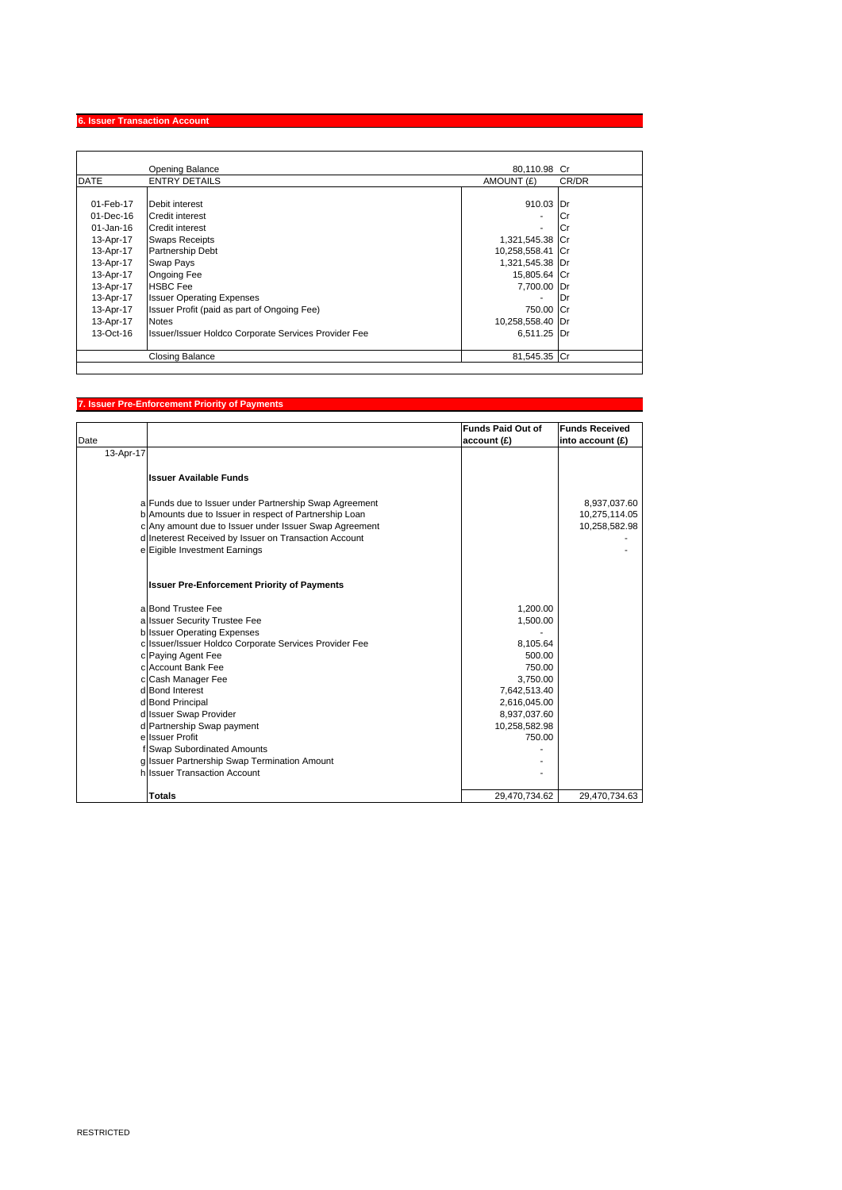#### **6. Issuer Transaction Account**

|             | <b>Opening Balance</b>                               | 80.110.98 Cr             |       |
|-------------|------------------------------------------------------|--------------------------|-------|
| <b>DATE</b> | <b>ENTRY DETAILS</b>                                 | AMOUNT (£)               | CR/DR |
|             |                                                      |                          |       |
| 01-Feb-17   | Debit interest                                       | 910.03 Dr                |       |
| 01-Dec-16   | Credit interest                                      | $\overline{\phantom{0}}$ | Сı    |
| 01-Jan-16   | Credit interest                                      | ۰.                       | Cr    |
| 13-Apr-17   | <b>Swaps Receipts</b>                                | 1,321,545.38 Cr          |       |
| 13-Apr-17   | <b>Partnership Debt</b>                              | 10,258,558.41 Cr         |       |
| 13-Apr-17   | Swap Pays                                            | 1,321,545.38 Dr          |       |
| 13-Apr-17   | <b>Ongoing Fee</b>                                   | 15,805.64 Cr             |       |
| 13-Apr-17   | <b>HSBC</b> Fee                                      | 7,700.00 Dr              |       |
| 13-Apr-17   | <b>Issuer Operating Expenses</b>                     |                          | Dr    |
| 13-Apr-17   | Issuer Profit (paid as part of Ongoing Fee)          | 750.00 Cr                |       |
| 13-Apr-17   | <b>Notes</b>                                         | 10,258,558.40 Dr         |       |
| $13-Oct-16$ | Issuer/Issuer Holdco Corporate Services Provider Fee | 6.511.25 Dr              |       |
|             | Closing Balance                                      | 81.545.35 Cr             |       |

### **7. Issuer Pre-Enforcement Priority of Payments**

|           |                                                        | <b>Funds Paid Out of</b> | <b>Funds Received</b> |
|-----------|--------------------------------------------------------|--------------------------|-----------------------|
| Date      |                                                        | account(f)               | into account $(f)$    |
| 13-Apr-17 |                                                        |                          |                       |
|           |                                                        |                          |                       |
|           | <b>Issuer Available Funds</b>                          |                          |                       |
|           | a Funds due to Issuer under Partnership Swap Agreement |                          | 8,937,037.60          |
|           | b Amounts due to Issuer in respect of Partnership Loan |                          | 10,275,114.05         |
|           | c Any amount due to Issuer under Issuer Swap Agreement |                          | 10,258,582.98         |
|           | d Ineterest Received by Issuer on Transaction Account  |                          |                       |
|           | e Eigible Investment Earnings                          |                          |                       |
|           | <b>Issuer Pre-Enforcement Priority of Payments</b>     |                          |                       |
|           | a Bond Trustee Fee                                     | 1,200.00                 |                       |
|           | a Issuer Security Trustee Fee                          | 1,500.00                 |                       |
|           | b Issuer Operating Expenses                            |                          |                       |
|           | c Issuer/Issuer Holdco Corporate Services Provider Fee | 8,105.64                 |                       |
|           | c Paying Agent Fee                                     | 500.00                   |                       |
|           | c Account Bank Fee                                     | 750.00                   |                       |
|           | c Cash Manager Fee                                     | 3,750.00                 |                       |
|           | d Bond Interest                                        | 7,642,513.40             |                       |
|           | d Bond Principal                                       | 2,616,045.00             |                       |
|           | d Issuer Swap Provider                                 | 8,937,037.60             |                       |
|           | d Partnership Swap payment                             | 10,258,582.98            |                       |
|           | e Issuer Profit                                        | 750.00                   |                       |
|           | f Swap Subordinated Amounts                            |                          |                       |
|           | g Issuer Partnership Swap Termination Amount           |                          |                       |
|           | hussuer Transaction Account                            |                          |                       |
|           | <b>Totals</b>                                          | 29,470,734.62            | 29,470,734.63         |